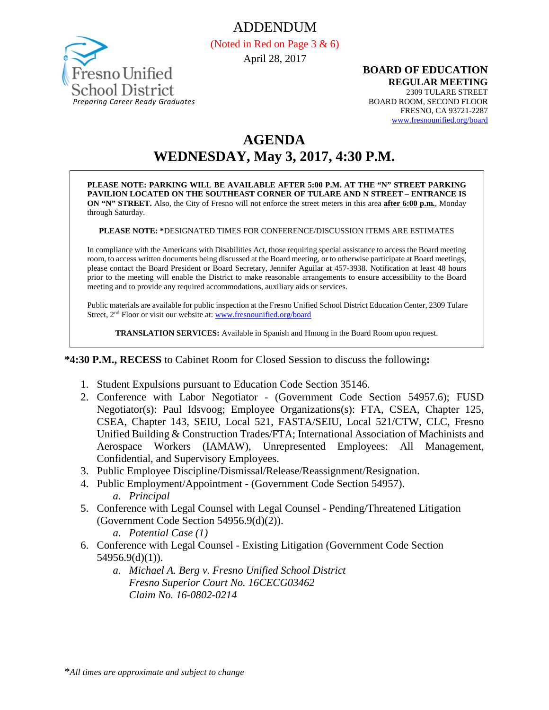ADDENDUM



(Noted in Red on Page 3 & 6) April 28, 2017

#### **BOARD OF EDUCATION REGULAR MEETING**

2309 TULARE STREET BOARD ROOM, SECOND FLOOR FRESNO, CA 93721-2287 [www.fresnounified.org/board](http://www.fresnounified.org/board)

# **AGENDA WEDNESDAY, May 3, 2017, 4:30 P.M.**

**PLEASE NOTE: PARKING WILL BE AVAILABLE AFTER 5:00 P.M. AT THE "N" STREET PARKING PAVILION LOCATED ON THE SOUTHEAST CORNER OF TULARE AND N STREET – ENTRANCE IS ON "N" STREET.** Also, the City of Fresno will not enforce the street meters in this area **after 6:00 p.m.**, Monday through Saturday.

**PLEASE NOTE: \***DESIGNATED TIMES FOR CONFERENCE/DISCUSSION ITEMS ARE ESTIMATES

In compliance with the Americans with Disabilities Act, those requiring special assistance to access the Board meeting room, to access written documents being discussed at the Board meeting, or to otherwise participate at Board meetings, please contact the Board President or Board Secretary, Jennifer Aguilar at 457-3938. Notification at least 48 hours prior to the meeting will enable the District to make reasonable arrangements to ensure accessibility to the Board meeting and to provide any required accommodations, auxiliary aids or services.

Public materials are available for public inspection at the Fresno Unified School District Education Center, 2309 Tulare Street, 2nd Floor or visit our website at: [www.fresnounified.org/board](http://www.fresnounified.org/board)

**TRANSLATION SERVICES:** Available in Spanish and Hmong in the Board Room upon request.

**\*4:30 P.M., RECESS** to Cabinet Room for Closed Session to discuss the following**:**

- 1. Student Expulsions pursuant to Education Code Section 35146.
- 2. Conference with Labor Negotiator (Government Code Section 54957.6); FUSD Negotiator(s): Paul Idsvoog; Employee Organizations(s): FTA, CSEA, Chapter 125, CSEA, Chapter 143, SEIU, Local 521, FASTA/SEIU, Local 521/CTW, CLC, Fresno Unified Building & Construction Trades/FTA; International Association of Machinists and Aerospace Workers (IAMAW), Unrepresented Employees: All Management, Confidential, and Supervisory Employees.
- 3. Public Employee Discipline/Dismissal/Release/Reassignment/Resignation.
- 4. Public Employment/Appointment (Government Code Section 54957). *a. Principal*
- 5. Conference with Legal Counsel with Legal Counsel Pending/Threatened Litigation (Government Code Section 54956.9(d)(2)).
	- *a. Potential Case (1)*
- 6. Conference with Legal Counsel Existing Litigation (Government Code Section 54956.9(d)(1)).
	- *a. Michael A. Berg v. Fresno Unified School District Fresno Superior Court No. 16CECG03462 Claim No. 16-0802-0214*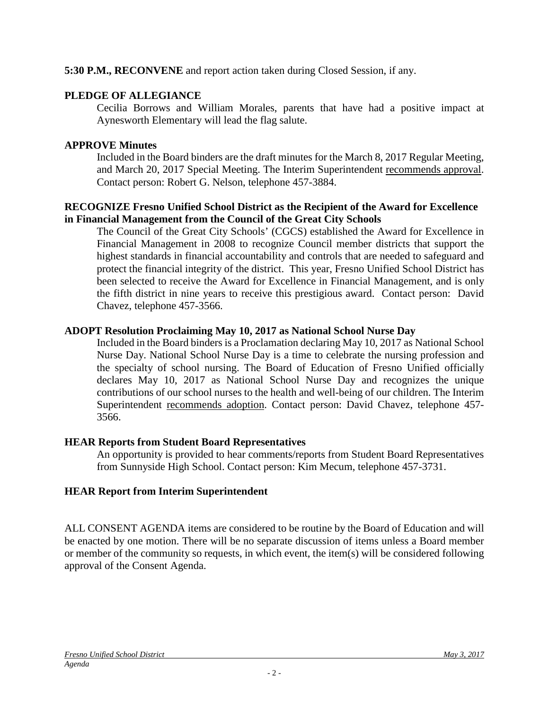#### **5:30 P.M., RECONVENE** and report action taken during Closed Session, if any.

#### **PLEDGE OF ALLEGIANCE**

Cecilia Borrows and William Morales, parents that have had a positive impact at Aynesworth Elementary will lead the flag salute.

#### **APPROVE Minutes**

Included in the Board binders are the draft minutes for the March 8, 2017 Regular Meeting, and March 20, 2017 Special Meeting. The Interim Superintendent recommends approval. Contact person: Robert G. Nelson, telephone 457-3884.

#### **RECOGNIZE Fresno Unified School District as the Recipient of the Award for Excellence in Financial Management from the Council of the Great City Schools**

The Council of the Great City Schools' (CGCS) established the Award for Excellence in Financial Management in 2008 to recognize Council member districts that support the highest standards in financial accountability and controls that are needed to safeguard and protect the financial integrity of the district. This year, Fresno Unified School District has been selected to receive the Award for Excellence in Financial Management, and is only the fifth district in nine years to receive this prestigious award. Contact person: David Chavez, telephone 457-3566.

#### **ADOPT Resolution Proclaiming May 10, 2017 as National School Nurse Day**

Included in the Board binders is a Proclamation declaring May 10, 2017 as National School Nurse Day. National School Nurse Day is a time to celebrate the nursing profession and the specialty of school nursing. The Board of Education of Fresno Unified officially declares May 10, 2017 as National School Nurse Day and recognizes the unique contributions of our school nurses to the health and well-being of our children. The Interim Superintendent recommends adoption. Contact person: David Chavez, telephone 457- 3566.

## **HEAR Reports from Student Board Representatives**

An opportunity is provided to hear comments/reports from Student Board Representatives from Sunnyside High School. Contact person: Kim Mecum, telephone 457-3731.

## **HEAR Report from Interim Superintendent**

ALL CONSENT AGENDA items are considered to be routine by the Board of Education and will be enacted by one motion. There will be no separate discussion of items unless a Board member or member of the community so requests, in which event, the item(s) will be considered following approval of the Consent Agenda.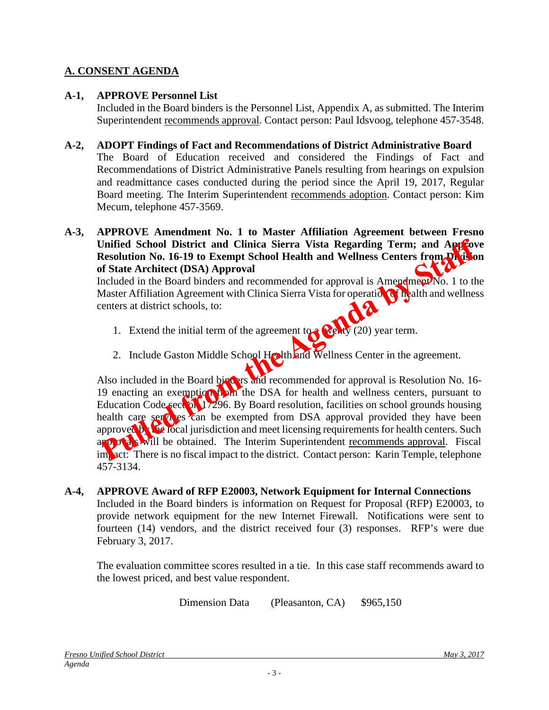## **A. CONSENT AGENDA**

### **A-1, APPROVE Personnel List**

Included in the Board binders is the Personnel List, Appendix A, as submitted. The Interim Superintendent recommends approval. Contact person: Paul Idsvoog, telephone 457-3548.

#### **A-2, ADOPT Findings of Fact and Recommendations of District Administrative Board**

The Board of Education received and considered the Findings of Fact and Recommendations of District Administrative Panels resulting from hearings on expulsion and readmittance cases conducted during the period since the April 19, 2017, Regular Board meeting. The Interim Superintendent recommends adoption. Contact person: Kim Mecum, telephone 457-3569.

**A-3, APPROVE Amendment No. 1 to Master Affiliation Agreement between Fresno**  Unified School District and Clinica Sierra Vista Regarding Term; and Approve **Resolution No. 16-19 to Exempt School Health and Wellness Centers from Division of State Architect (DSA) Approval**

Included in the Board binders and recommended for approval is Amendment No. 1 to the Master Affiliation Agreement with Clinica Sierra Vista for operation of health and wellness centers at district schools, to:

- 1. Extend the initial term of the agreement to  $\bullet$   $\bullet$   $\bullet$  (20) year term.
- 2. Include Gaston Middle School Health and Wellness Center in the agreement.

Also included in the Board binders and recommended for approval is Resolution No. 16-19 enacting an exemption that the DSA for health and wellness centers, pursuant to Education Code section  $\frac{1}{296}$ . By Board resolution, facilities on school grounds housing health care services can be exempted from DSA approval provided they have been approved by the local jurisdiction and meet licensing requirements for health centers. Such approvals will be obtained. The Interim Superintendent recommends approval. Fiscal impact: There is no fiscal impact to the district. Contact person: Karin Temple, telephone 457-3134.

#### **A-4, APPROVE Award of RFP E20003, Network Equipment for Internal Connections**

Included in the Board binders is information on Request for Proposal (RFP) E20003, to provide network equipment for the new Internet Firewall. Notifications were sent to fourteen (14) vendors, and the district received four (3) responses. RFP's were due February 3, 2017.

The evaluation committee scores resulted in a tie. In this case staff recommends award to the lowest priced, and best value respondent.

Dimension Data (Pleasanton, CA) \$965,150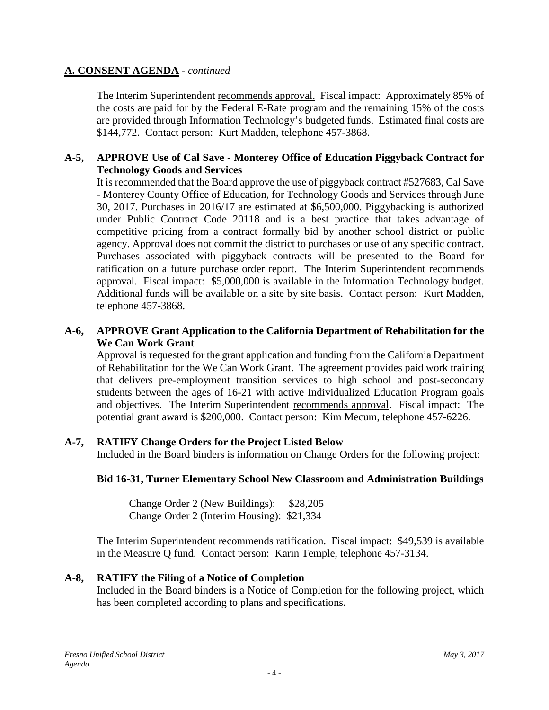## **A. CONSENT AGENDA** - *continued*

The Interim Superintendent recommends approval. Fiscal impact: Approximately 85% of the costs are paid for by the Federal E-Rate program and the remaining 15% of the costs are provided through Information Technology's budgeted funds. Estimated final costs are \$144,772. Contact person: Kurt Madden, telephone 457-3868.

### **A-5, APPROVE Use of Cal Save - Monterey Office of Education Piggyback Contract for Technology Goods and Services**

It is recommended that the Board approve the use of piggyback contract #527683, Cal Save - Monterey County Office of Education, for Technology Goods and Services through June 30, 2017. Purchases in 2016/17 are estimated at \$6,500,000. Piggybacking is authorized under Public Contract Code 20118 and is a best practice that takes advantage of competitive pricing from a contract formally bid by another school district or public agency. Approval does not commit the district to purchases or use of any specific contract. Purchases associated with piggyback contracts will be presented to the Board for ratification on a future purchase order report. The Interim Superintendent recommends approval. Fiscal impact: \$5,000,000 is available in the Information Technology budget. Additional funds will be available on a site by site basis. Contact person: Kurt Madden, telephone 457-3868.

#### **A-6, APPROVE Grant Application to the California Department of Rehabilitation for the We Can Work Grant**

Approval is requested for the grant application and funding from the California Department of Rehabilitation for the We Can Work Grant. The agreement provides paid work training that delivers pre-employment transition services to high school and post-secondary students between the ages of 16-21 with active Individualized Education Program goals and objectives. The Interim Superintendent recommends approval. Fiscal impact: The potential grant award is \$200,000. Contact person: Kim Mecum, telephone 457-6226.

## **A-7, RATIFY Change Orders for the Project Listed Below**

Included in the Board binders is information on Change Orders for the following project:

#### **Bid 16-31, Turner Elementary School New Classroom and Administration Buildings**

Change Order 2 (New Buildings): \$28,205 Change Order 2 (Interim Housing): \$21,334

The Interim Superintendent recommends ratification. Fiscal impact: \$49,539 is available in the Measure Q fund. Contact person: Karin Temple, telephone 457-3134.

#### **A-8, RATIFY the Filing of a Notice of Completion**

Included in the Board binders is a Notice of Completion for the following project, which has been completed according to plans and specifications.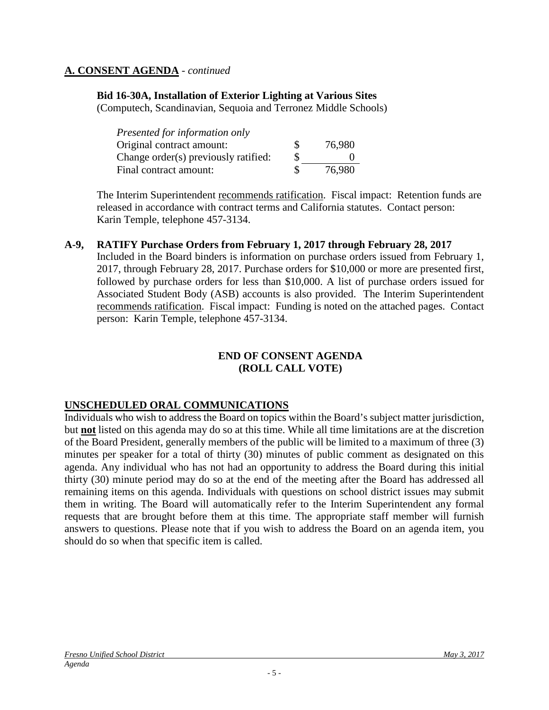### **A. CONSENT AGENDA** - *continued*

### **Bid 16-30A, Installation of Exterior Lighting at Various Sites**

(Computech, Scandinavian, Sequoia and Terronez Middle Schools)

| Presented for information only       |    |        |
|--------------------------------------|----|--------|
| Original contract amount:            | S. | 76,980 |
| Change order(s) previously ratified: | S  |        |
| Final contract amount:               | S. | 76.980 |

The Interim Superintendent recommends ratification. Fiscal impact: Retention funds are released in accordance with contract terms and California statutes. Contact person: Karin Temple, telephone 457-3134.

#### **A-9, RATIFY Purchase Orders from February 1, 2017 through February 28, 2017**

Included in the Board binders is information on purchase orders issued from February 1, 2017, through February 28, 2017. Purchase orders for \$10,000 or more are presented first, followed by purchase orders for less than \$10,000. A list of purchase orders issued for Associated Student Body (ASB) accounts is also provided. The Interim Superintendent recommends ratification. Fiscal impact: Funding is noted on the attached pages. Contact person: Karin Temple, telephone 457-3134.

#### **END OF CONSENT AGENDA (ROLL CALL VOTE)**

#### **UNSCHEDULED ORAL COMMUNICATIONS**

Individuals who wish to address the Board on topics within the Board's subject matter jurisdiction, but **not** listed on this agenda may do so at this time. While all time limitations are at the discretion of the Board President, generally members of the public will be limited to a maximum of three (3) minutes per speaker for a total of thirty (30) minutes of public comment as designated on this agenda. Any individual who has not had an opportunity to address the Board during this initial thirty (30) minute period may do so at the end of the meeting after the Board has addressed all remaining items on this agenda. Individuals with questions on school district issues may submit them in writing. The Board will automatically refer to the Interim Superintendent any formal requests that are brought before them at this time. The appropriate staff member will furnish answers to questions. Please note that if you wish to address the Board on an agenda item, you should do so when that specific item is called.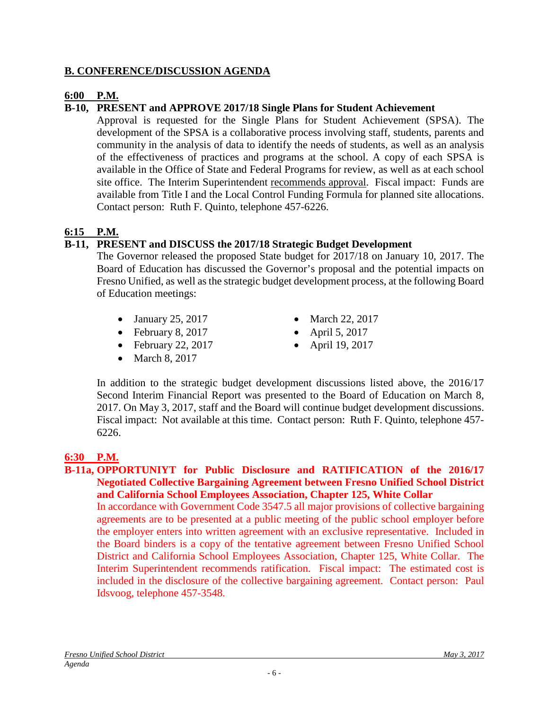### **B. CONFERENCE/DISCUSSION AGENDA**

### **6:00 P.M.**

## **B-10, PRESENT and APPROVE 2017/18 Single Plans for Student Achievement**

Approval is requested for the Single Plans for Student Achievement (SPSA). The development of the SPSA is a collaborative process involving staff, students, parents and community in the analysis of data to identify the needs of students, as well as an analysis of the effectiveness of practices and programs at the school. A copy of each SPSA is available in the Office of State and Federal Programs for review, as well as at each school site office. The Interim Superintendent recommends approval. Fiscal impact: Funds are available from Title I and the Local Control Funding Formula for planned site allocations. Contact person: Ruth F. Quinto, telephone 457-6226.

## **6:15 P.M.**

## **B-11, PRESENT and DISCUSS the 2017/18 Strategic Budget Development**

The Governor released the proposed State budget for 2017/18 on January 10, 2017. The Board of Education has discussed the Governor's proposal and the potential impacts on Fresno Unified, as well as the strategic budget development process, at the following Board of Education meetings:

- January 25, 2017 March 22, 2017
- February 8, 2017 April 5, 2017
- February 22, 2017 April 19, 2017
- March 8, 2017
- 
- 
- 

In addition to the strategic budget development discussions listed above, the 2016/17 Second Interim Financial Report was presented to the Board of Education on March 8, 2017. On May 3, 2017, staff and the Board will continue budget development discussions. Fiscal impact: Not available at this time. Contact person: Ruth F. Quinto, telephone 457- 6226.

## **6:30 P.M.**

#### **B-11a, OPPORTUNIYT for Public Disclosure and RATIFICATION of the 2016/17 Negotiated Collective Bargaining Agreement between Fresno Unified School District and California School Employees Association, Chapter 125, White Collar**

In accordance with Government Code 3547.5 all major provisions of collective bargaining agreements are to be presented at a public meeting of the public school employer before the employer enters into written agreement with an exclusive representative. Included in the Board binders is a copy of the tentative agreement between Fresno Unified School District and California School Employees Association, Chapter 125, White Collar. The Interim Superintendent recommends ratification. Fiscal impact: The estimated cost is included in the disclosure of the collective bargaining agreement. Contact person: Paul Idsvoog, telephone 457-3548.